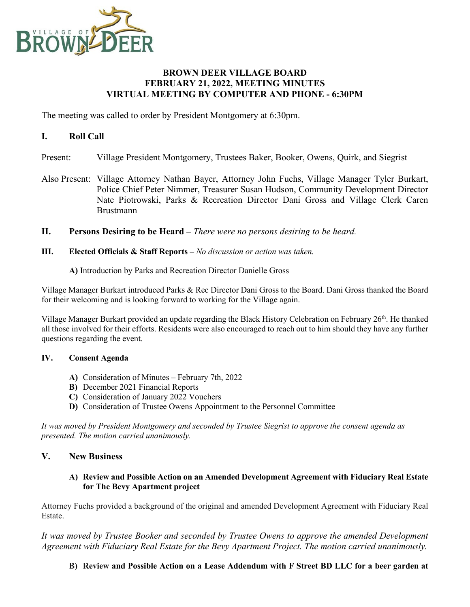

## **BROWN DEER VILLAGE BOARD FEBRUARY 21, 2022, MEETING MINUTES VIRTUAL MEETING BY COMPUTER AND PHONE - 6:30PM**

The meeting was called to order by President Montgomery at 6:30pm.

## **I. Roll Call**

- Present: Village President Montgomery, Trustees Baker, Booker, Owens, Quirk, and Siegrist
- Also Present: Village Attorney Nathan Bayer, Attorney John Fuchs, Village Manager Tyler Burkart, Police Chief Peter Nimmer, Treasurer Susan Hudson, Community Development Director Nate Piotrowski, Parks & Recreation Director Dani Gross and Village Clerk Caren Brustmann
- **II. Persons Desiring to be Heard –** *There were no persons desiring to be heard.*
- **III. Elected Officials & Staff Reports –** *No discussion or action was taken.*
	- **A)** Introduction by Parks and Recreation Director Danielle Gross

Village Manager Burkart introduced Parks & Rec Director Dani Gross to the Board. Dani Gross thanked the Board for their welcoming and is looking forward to working for the Village again.

Village Manager Burkart provided an update regarding the Black History Celebration on February 26<sup>th</sup>. He thanked all those involved for their efforts. Residents were also encouraged to reach out to him should they have any further questions regarding the event.

## **IV. Consent Agenda**

- **A)** Consideration of Minutes February 7th, 2022
- **B)** December 2021 Financial Reports
- **C)** Consideration of January 2022 Vouchers
- **D)** Consideration of Trustee Owens Appointment to the Personnel Committee

*It was moved by President Montgomery and seconded by Trustee Siegrist to approve the consent agenda as presented. The motion carried unanimously.*

# **V. New Business**

#### **A) Review and Possible Action on an Amended Development Agreement with Fiduciary Real Estate for The Bevy Apartment project**

Attorney Fuchs provided a background of the original and amended Development Agreement with Fiduciary Real Estate.

*It was moved by Trustee Booker and seconded by Trustee Owens to approve the amended Development Agreement with Fiduciary Real Estate for the Bevy Apartment Project. The motion carried unanimously.*

**B) Review and Possible Action on a Lease Addendum with F Street BD LLC for a beer garden at**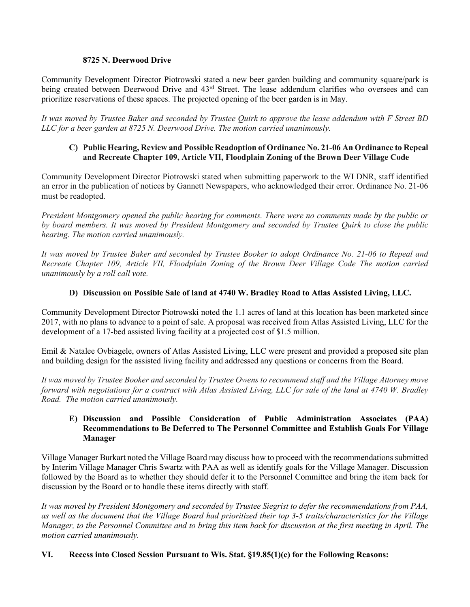#### **8725 N. Deerwood Drive**

Community Development Director Piotrowski stated a new beer garden building and community square/park is being created between Deerwood Drive and 43<sup>rd</sup> Street. The lease addendum clarifies who oversees and can prioritize reservations of these spaces. The projected opening of the beer garden is in May.

*It was moved by Trustee Baker and seconded by Trustee Quirk to approve the lease addendum with F Street BD LLC for a beer garden at 8725 N. Deerwood Drive. The motion carried unanimously.*

### **C) Public Hearing, Review and Possible Readoption of Ordinance No. 21-06 An Ordinance to Repeal and Recreate Chapter 109, Article VII, Floodplain Zoning of the Brown Deer Village Code**

Community Development Director Piotrowski stated when submitting paperwork to the WI DNR, staff identified an error in the publication of notices by Gannett Newspapers, who acknowledged their error. Ordinance No. 21-06 must be readopted.

*President Montgomery opened the public hearing for comments. There were no comments made by the public or by board members. It was moved by President Montgomery and seconded by Trustee Quirk to close the public hearing. The motion carried unanimously.* 

*It was moved by Trustee Baker and seconded by Trustee Booker to adopt Ordinance No. 21-06 to Repeal and Recreate Chapter 109, Article VII, Floodplain Zoning of the Brown Deer Village Code The motion carried unanimously by a roll call vote.*

## **D) Discussion on Possible Sale of land at 4740 W. Bradley Road to Atlas Assisted Living, LLC.**

Community Development Director Piotrowski noted the 1.1 acres of land at this location has been marketed since 2017, with no plans to advance to a point of sale. A proposal was received from Atlas Assisted Living, LLC for the development of a 17-bed assisted living facility at a projected cost of \$1.5 million.

Emil & Natalee Ovbiagele, owners of Atlas Assisted Living, LLC were present and provided a proposed site plan and building design for the assisted living facility and addressed any questions or concerns from the Board.

*It was moved by Trustee Booker and seconded by Trustee Owens to recommend staff and the Village Attorney move forward with negotiations for a contract with Atlas Assisted Living, LLC for sale of the land at 4740 W. Bradley Road. The motion carried unanimously.*

### **E) Discussion and Possible Consideration of Public Administration Associates (PAA) Recommendations to Be Deferred to The Personnel Committee and Establish Goals For Village Manager**

Village Manager Burkart noted the Village Board may discuss how to proceed with the recommendations submitted by Interim Village Manager Chris Swartz with PAA as well as identify goals for the Village Manager. Discussion followed by the Board as to whether they should defer it to the Personnel Committee and bring the item back for discussion by the Board or to handle these items directly with staff.

*It was moved by President Montgomery and seconded by Trustee Siegrist to defer the recommendations from PAA, as well as the document that the Village Board had prioritized their top 3-5 traits/characteristics for the Village Manager, to the Personnel Committee and to bring this item back for discussion at the first meeting in April. The motion carried unanimously.*

## **VI. Recess into Closed Session Pursuant to Wis. Stat. §19.85(1)(e) for the Following Reasons:**